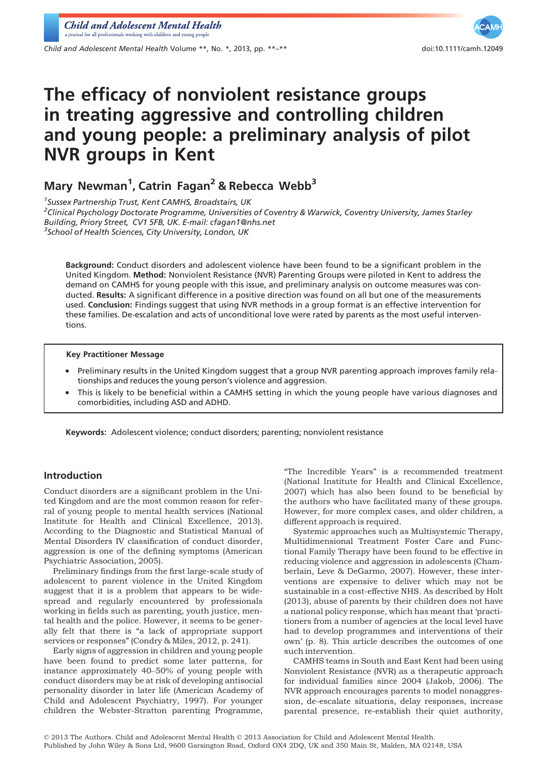Child and Adolescent Mental Health Volume \*\*, No. \*, 2013, pp. \*\*–\*\* doi:10.1111/camh.12049

# The efficacy of nonviolent resistance groups in treating aggressive and controlling children and young people: a preliminary analysis of pilot NVR groups in Kent

# Mary Newman<sup>1</sup>, Catrin Fagan<sup>2</sup> & Rebecca Webb<sup>3</sup>

<sup>1</sup> Sussex Partnership Trust, Kent CAMHS, Broadstairs, UK

<sup>2</sup>Clinical Psychology Doctorate Programme, Universities of Coventry & Warwick, Coventry University, James Starley Building, Priory Street, CV1 5FB, UK. E-mail: cfagan1@nhs.net <sup>3</sup>School of Health Sciences, City University, London, UK

Background: Conduct disorders and adolescent violence have been found to be a significant problem in the United Kingdom. Method: Nonviolent Resistance (NVR) Parenting Groups were piloted in Kent to address the demand on CAMHS for young people with this issue, and preliminary analysis on outcome measures was conducted. Results: A significant difference in a positive direction was found on all but one of the measurements used. Conclusion: Findings suggest that using NVR methods in a group format is an effective intervention for these families. De-escalation and acts of unconditional love were rated by parents as the most useful interventions.

## Key Practitioner Message

- Preliminary results in the United Kingdom suggest that a group NVR parenting approach improves family relationships and reduces the young person's violence and aggression.
- This is likely to be beneficial within a CAMHS setting in which the young people have various diagnoses and comorbidities, including ASD and ADHD.

Keywords: Adolescent violence; conduct disorders; parenting; nonviolent resistance

# Introduction

Conduct disorders are a significant problem in the United Kingdom and are the most common reason for referral of young people to mental health services (National Institute for Health and Clinical Excellence, 2013). According to the Diagnostic and Statistical Manual of Mental Disorders IV classification of conduct disorder, aggression is one of the defining symptoms (American Psychiatric Association, 2005).

Preliminary findings from the first large-scale study of adolescent to parent violence in the United Kingdom suggest that it is a problem that appears to be widespread and regularly encountered by professionals working in fields such as parenting, youth justice, mental health and the police. However, it seems to be generally felt that there is "a lack of appropriate support services or responses" (Condry & Miles, 2012, p. 241).

Early signs of aggression in children and young people have been found to predict some later patterns, for instance approximately 40–50% of young people with conduct disorders may be at risk of developing antisocial personality disorder in later life (American Academy of Child and Adolescent Psychiatry, 1997). For younger children the Webster-Stratton parenting Programme, "The Incredible Years" is a recommended treatment (National Institute for Health and Clinical Excellence, 2007) which has also been found to be beneficial by the authors who have facilitated many of these groups. However, for more complex cases, and older children, a different approach is required.

Systemic approaches such as Multisystemic Therapy, Multidimensional Treatment Foster Care and Functional Family Therapy have been found to be effective in reducing violence and aggression in adolescents (Chamberlain, Leve & DeGarmo, 2007). However, these interventions are expensive to deliver which may not be sustainable in a cost-effective NHS. As described by Holt (2013), abuse of parents by their children does not have a national policy response, which has meant that 'practitioners from a number of agencies at the local level have had to develop programmes and interventions of their own' (p. 8). This article describes the outcomes of one such intervention.

CAMHS teams in South and East Kent had been using Nonviolent Resistance (NVR) as a therapeutic approach for individual families since 2004 (Jakob, 2006). The NVR approach encourages parents to model nonaggression, de-escalate situations, delay responses, increase parental presence, re-establish their quiet authority,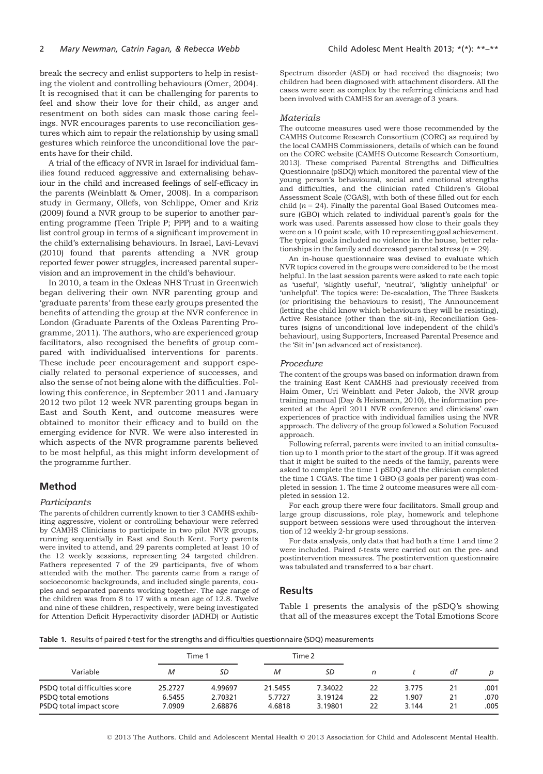break the secrecy and enlist supporters to help in resisting the violent and controlling behaviours (Omer, 2004). It is recognised that it can be challenging for parents to feel and show their love for their child, as anger and resentment on both sides can mask those caring feelings. NVR encourages parents to use reconciliation gestures which aim to repair the relationship by using small gestures which reinforce the unconditional love the parents have for their child.

A trial of the efficacy of NVR in Israel for individual families found reduced aggressive and externalising behaviour in the child and increased feelings of self-efficacy in the parents (Weinblatt & Omer, 2008). In a comparison study in Germany, Ollefs, von Schlippe, Omer and Kriz (2009) found a NVR group to be superior to another parenting programme (Teen Triple P; PPP) and to a waiting list control group in terms of a significant improvement in the child's externalising behaviours. In Israel, Lavi-Levavi (2010) found that parents attending a NVR group reported fewer power struggles, increased parental supervision and an improvement in the child's behaviour.

In 2010, a team in the Oxleas NHS Trust in Greenwich began delivering their own NVR parenting group and 'graduate parents' from these early groups presented the benefits of attending the group at the NVR conference in London (Graduate Parents of the Oxleas Parenting Programme, 2011). The authors, who are experienced group facilitators, also recognised the benefits of group compared with individualised interventions for parents. These include peer encouragement and support especially related to personal experience of successes, and also the sense of not being alone with the difficulties. Following this conference, in September 2011 and January 2012 two pilot 12 week NVR parenting groups began in East and South Kent, and outcome measures were obtained to monitor their efficacy and to build on the emerging evidence for NVR. We were also interested in which aspects of the NVR programme parents believed to be most helpful, as this might inform development of the programme further.

## Method

#### Participants

The parents of children currently known to tier 3 CAMHS exhibiting aggressive, violent or controlling behaviour were referred by CAMHS Clinicians to participate in two pilot NVR groups, running sequentially in East and South Kent. Forty parents were invited to attend, and 29 parents completed at least 10 of the 12 weekly sessions, representing 24 targeted children. Fathers represented 7 of the 29 participants, five of whom attended with the mother. The parents came from a range of socioeconomic backgrounds, and included single parents, couples and separated parents working together. The age range of the children was from 8 to 17 with a mean age of 12.8. Twelve and nine of these children, respectively, were being investigated for Attention Deficit Hyperactivity disorder (ADHD) or Autistic Spectrum disorder (ASD) or had received the diagnosis; two children had been diagnosed with attachment disorders. All the cases were seen as complex by the referring clinicians and had been involved with CAMHS for an average of 3 years.

#### Materials

The outcome measures used were those recommended by the CAMHS Outcome Research Consortium (CORC) as required by the local CAMHS Commissioners, details of which can be found on the CORC website (CAMHS Outcome Research Consortium, 2013). These comprised Parental Strengths and Difficulties Questionnaire (pSDQ) which monitored the parental view of the young person's behavioural, social and emotional strengths and difficulties, and the clinician rated Children's Global Assessment Scale (CGAS), with both of these filled out for each child ( $n = 24$ ). Finally the parental Goal Based Outcomes measure (GBO) which related to individual parent's goals for the work was used. Parents assessed how close to their goals they were on a 10 point scale, with 10 representing goal achievement. The typical goals included no violence in the house, better relationships in the family and decreased parental stress ( $n = 29$ ).

An in-house questionnaire was devised to evaluate which NVR topics covered in the groups were considered to be the most helpful. In the last session parents were asked to rate each topic as 'useful', 'slightly useful', 'neutral', 'slightly unhelpful' or 'unhelpful'. The topics were: De-escalation, The Three Baskets (or prioritising the behaviours to resist), The Announcement (letting the child know which behaviours they will be resisting), Active Resistance (other than the sit-in), Reconciliation Gestures (signs of unconditional love independent of the child's behaviour), using Supporters, Increased Parental Presence and the 'Sit in' (an advanced act of resistance).

#### Procedure

The content of the groups was based on information drawn from the training East Kent CAMHS had previously received from Haim Omer, Uri Weinblatt and Peter Jakob, the NVR group training manual (Day & Heismann, 2010), the information presented at the April 2011 NVR conference and clinicians' own experiences of practice with individual families using the NVR approach. The delivery of the group followed a Solution Focused approach.

Following referral, parents were invited to an initial consultation up to 1 month prior to the start of the group. If it was agreed that it might be suited to the needs of the family, parents were asked to complete the time 1 pSDQ and the clinician completed the time 1 CGAS. The time 1 GBO (3 goals per parent) was completed in session 1. The time 2 outcome measures were all completed in session 12.

For each group there were four facilitators. Small group and large group discussions, role play, homework and telephone support between sessions were used throughout the intervention of 12 weekly 2-hr group sessions.

For data analysis, only data that had both a time 1 and time 2 were included. Paired t-tests were carried out on the pre- and postintervention measures. The postintervention questionnaire was tabulated and transferred to a bar chart.

# Results

Table 1 presents the analysis of the pSDQ's showing that all of the measures except the Total Emotions Score

Table 1. Results of paired t-test for the strengths and difficulties questionnaire (SDQ) measurements

| Variable                      | Time 1  |         | Time 2  |         |    |       |    |      |
|-------------------------------|---------|---------|---------|---------|----|-------|----|------|
|                               | М       | SD      | М       | SD      | n  |       | df |      |
| PSDQ total difficulties score | 25.2727 | 4.99697 | 21.5455 | 7.34022 | 22 | 3.775 | 21 | .001 |
| PSDQ total emotions           | 6.5455  | 2.70321 | 5.7727  | 3.19124 | 22 | 1.907 | 21 | .070 |
| PSDQ total impact score       | 7.0909  | 2.68876 | 4.6818  | 3.19801 | 22 | 3.144 | 21 | .005 |

© 2013 The Authors. Child and Adolescent Mental Health © 2013 Association for Child and Adolescent Mental Health.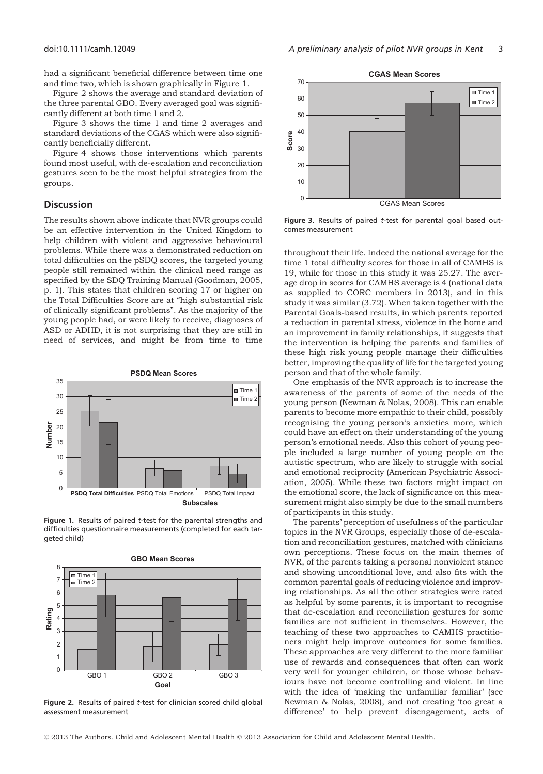had a significant beneficial difference between time one and time two, which is shown graphically in Figure 1.

Figure 2 shows the average and standard deviation of the three parental GBO. Every averaged goal was significantly different at both time 1 and 2.

Figure 3 shows the time 1 and time 2 averages and standard deviations of the CGAS which were also significantly beneficially different.

Figure 4 shows those interventions which parents found most useful, with de-escalation and reconciliation gestures seen to be the most helpful strategies from the groups.

# **Discussion**

The results shown above indicate that NVR groups could be an effective intervention in the United Kingdom to help children with violent and aggressive behavioural problems. While there was a demonstrated reduction on total difficulties on the pSDQ scores, the targeted young people still remained within the clinical need range as specified by the SDQ Training Manual (Goodman, 2005, p. 1). This states that children scoring 17 or higher on the Total Difficulties Score are at "high substantial risk of clinically significant problems". As the majority of the young people had, or were likely to receive, diagnoses of ASD or ADHD, it is not surprising that they are still in need of services, and might be from time to time



Figure 1. Results of paired t-test for the parental strengths and difficulties questionnaire measurements (completed for each targeted child)



Figure 2. Results of paired t-test for clinician scored child global assessment measurement



Figure 3. Results of paired t-test for parental goal based outcomes measurement

throughout their life. Indeed the national average for the time 1 total difficulty scores for those in all of CAMHS is 19, while for those in this study it was 25.27. The average drop in scores for CAMHS average is 4 (national data as supplied to CORC members in 2013), and in this study it was similar (3.72). When taken together with the Parental Goals-based results, in which parents reported a reduction in parental stress, violence in the home and an improvement in family relationships, it suggests that the intervention is helping the parents and families of these high risk young people manage their difficulties better, improving the quality of life for the targeted young person and that of the whole family.

One emphasis of the NVR approach is to increase the awareness of the parents of some of the needs of the young person (Newman & Nolas, 2008). This can enable parents to become more empathic to their child, possibly recognising the young person's anxieties more, which could have an effect on their understanding of the young person's emotional needs. Also this cohort of young people included a large number of young people on the autistic spectrum, who are likely to struggle with social and emotional reciprocity (American Psychiatric Association, 2005). While these two factors might impact on the emotional score, the lack of significance on this measurement might also simply be due to the small numbers of participants in this study.

The parents' perception of usefulness of the particular topics in the NVR Groups, especially those of de-escalation and reconciliation gestures, matched with clinicians own perceptions. These focus on the main themes of NVR, of the parents taking a personal nonviolent stance and showing unconditional love, and also fits with the common parental goals of reducing violence and improving relationships. As all the other strategies were rated as helpful by some parents, it is important to recognise that de-escalation and reconciliation gestures for some families are not sufficient in themselves. However, the teaching of these two approaches to CAMHS practitioners might help improve outcomes for some families. These approaches are very different to the more familiar use of rewards and consequences that often can work very well for younger children, or those whose behaviours have not become controlling and violent. In line with the idea of 'making the unfamiliar familiar' (see Newman & Nolas, 2008), and not creating 'too great a difference' to help prevent disengagement, acts of